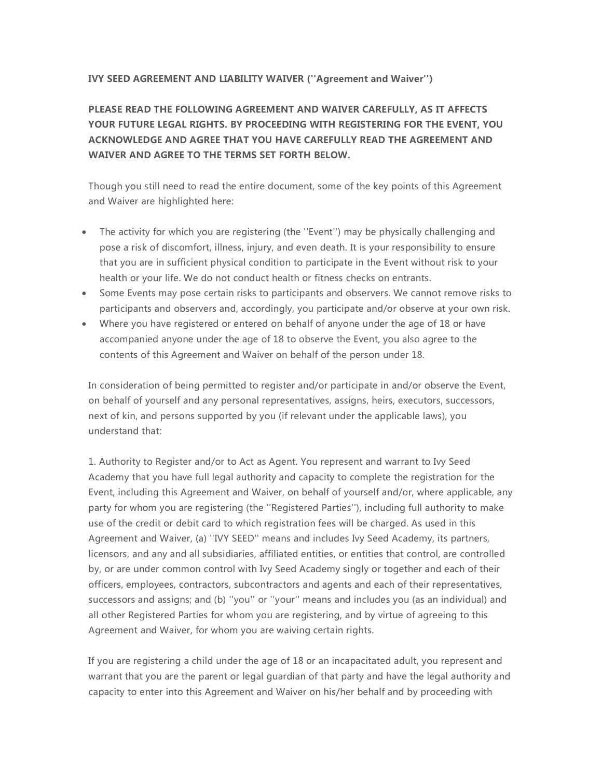## **IVY SEED AGREEMENT AND LIABILITY WAIVER (''Agreement and Waiver'')**

**PLEASE READ THE FOLLOWING AGREEMENT AND WAIVER CAREFULLY, AS IT AFFECTS YOUR FUTURE LEGAL RIGHTS. BY PROCEEDING WITH REGISTERING FOR THE EVENT, YOU ACKNOWLEDGE AND AGREE THAT YOU HAVE CAREFULLY READ THE AGREEMENT AND WAIVER AND AGREE TO THE TERMS SET FORTH BELOW.**

Though you still need to read the entire document, some of the key points of this Agreement and Waiver are highlighted here:

- The activity for which you are registering (the ''Event'') may be physically challenging and pose a risk of discomfort, illness, injury, and even death. It is your responsibility to ensure that you are in sufficient physical condition to participate in the Event without risk to your health or your life. We do not conduct health or fitness checks on entrants.
- Some Events may pose certain risks to participants and observers. We cannot remove risks to participants and observers and, accordingly, you participate and/or observe at your own risk.
- Where you have registered or entered on behalf of anyone under the age of 18 or have accompanied anyone under the age of 18 to observe the Event, you also agree to the contents of this Agreement and Waiver on behalf of the person under 18.

In consideration of being permitted to register and/or participate in and/or observe the Event, on behalf of yourself and any personal representatives, assigns, heirs, executors, successors, next of kin, and persons supported by you (if relevant under the applicable laws), you understand that:

1. Authority to Register and/or to Act as Agent. You represent and warrant to Ivy Seed Academy that you have full legal authority and capacity to complete the registration for the Event, including this Agreement and Waiver, on behalf of yourself and/or, where applicable, any party for whom you are registering (the ''Registered Parties''), including full authority to make use of the credit or debit card to which registration fees will be charged. As used in this Agreement and Waiver, (a) ''IVY SEED'' means and includes Ivy Seed Academy, its partners, licensors, and any and all subsidiaries, affiliated entities, or entities that control, are controlled by, or are under common control with Ivy Seed Academy singly or together and each of their officers, employees, contractors, subcontractors and agents and each of their representatives, successors and assigns; and (b) ''you'' or ''your'' means and includes you (as an individual) and all other Registered Parties for whom you are registering, and by virtue of agreeing to this Agreement and Waiver, for whom you are waiving certain rights.

If you are registering a child under the age of 18 or an incapacitated adult, you represent and warrant that you are the parent or legal guardian of that party and have the legal authority and capacity to enter into this Agreement and Waiver on his/her behalf and by proceeding with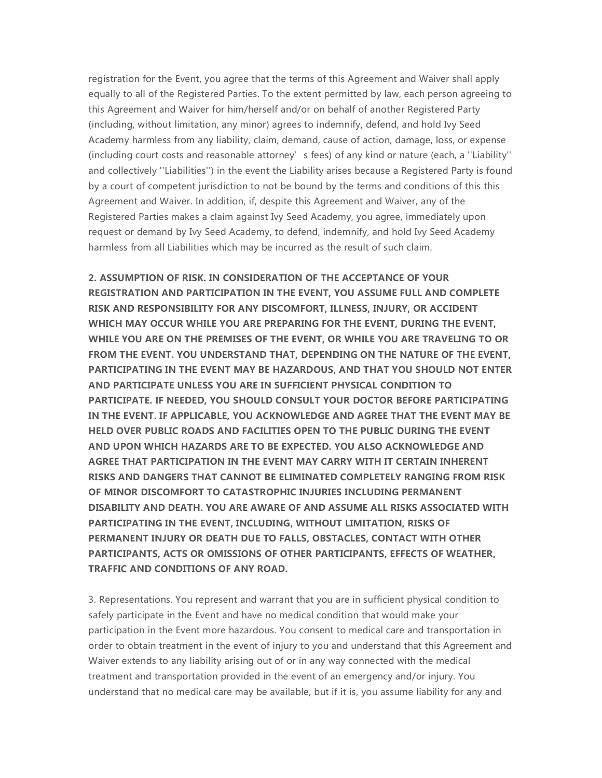registration for the Event, you agree that the terms of this Agreement and Waiver shall apply equally to all of the Registered Parties. To the extent permitted by law, each person agreeing to this Agreement and Waiver for him/herself and/or on behalf of another Registered Party (including, without limitation, any minor) agrees to indemnify, defend, and hold Ivy Seed Academy harmless from any liability, claim, demand, cause of action, damage, loss, or expense (including court costs and reasonable attorney's fees) of any kind or nature (each, a ''Liability'' and collectively ''Liabilities'') in the event the Liability arises because a Registered Party is found by a court of competent jurisdiction to not be bound by the terms and conditions of this this Agreement and Waiver. In addition, if, despite this Agreement and Waiver, any of the Registered Parties makes a claim against Ivy Seed Academy, you agree, immediately upon request or demand by Ivy Seed Academy, to defend, indemnify, and hold Ivy Seed Academy harmless from all Liabilities which may be incurred as the result of such claim.

**2. ASSUMPTION OF RISK. IN CONSIDERATION OF THE ACCEPTANCE OF YOUR REGISTRATION AND PARTICIPATION IN THE EVENT, YOU ASSUME FULL AND COMPLETE RISK AND RESPONSIBILITY FOR ANY DISCOMFORT, ILLNESS, INJURY, OR ACCIDENT WHICH MAY OCCUR WHILE YOU ARE PREPARING FOR THE EVENT, DURING THE EVENT, WHILE YOU ARE ON THE PREMISES OF THE EVENT, OR WHILE YOU ARE TRAVELING TO OR FROM THE EVENT. YOU UNDERSTAND THAT, DEPENDING ON THE NATURE OF THE EVENT, PARTICIPATING IN THE EVENT MAY BE HAZARDOUS, AND THAT YOU SHOULD NOT ENTER AND PARTICIPATE UNLESS YOU ARE IN SUFFICIENT PHYSICAL CONDITION TO PARTICIPATE. IF NEEDED, YOU SHOULD CONSULT YOUR DOCTOR BEFORE PARTICIPATING IN THE EVENT. IF APPLICABLE, YOU ACKNOWLEDGE AND AGREE THAT THE EVENT MAY BE HELD OVER PUBLIC ROADS AND FACILITIES OPEN TO THE PUBLIC DURING THE EVENT AND UPON WHICH HAZARDS ARE TO BE EXPECTED. YOU ALSO ACKNOWLEDGE AND AGREE THAT PARTICIPATION IN THE EVENT MAY CARRY WITH IT CERTAIN INHERENT RISKS AND DANGERS THAT CANNOT BE ELIMINATED COMPLETELY RANGING FROM RISK OF MINOR DISCOMFORT TO CATASTROPHIC INJURIES INCLUDING PERMANENT DISABILITY AND DEATH. YOU ARE AWARE OF AND ASSUME ALL RISKS ASSOCIATED WITH PARTICIPATING IN THE EVENT, INCLUDING, WITHOUT LIMITATION, RISKS OF PERMANENT INJURY OR DEATH DUE TO FALLS, OBSTACLES, CONTACT WITH OTHER PARTICIPANTS, ACTS OR OMISSIONS OF OTHER PARTICIPANTS, EFFECTS OF WEATHER, TRAFFIC AND CONDITIONS OF ANY ROAD.**

3. Representations. You represent and warrant that you are in sufficient physical condition to safely participate in the Event and have no medical condition that would make your participation in the Event more hazardous. You consent to medical care and transportation in order to obtain treatment in the event of injury to you and understand that this Agreement and Waiver extends to any liability arising out of or in any way connected with the medical treatment and transportation provided in the event of an emergency and/or injury. You understand that no medical care may be available, but if it is, you assume liability for any and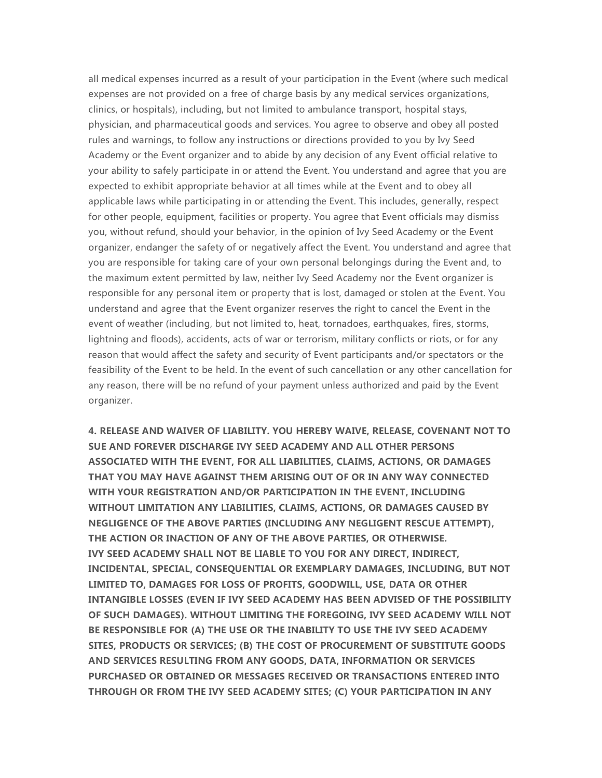all medical expenses incurred as a result of your participation in the Event (where such medical expenses are not provided on a free of charge basis by any medical services organizations, clinics, or hospitals), including, but not limited to ambulance transport, hospital stays, physician, and pharmaceutical goods and services. You agree to observe and obey all posted rules and warnings, to follow any instructions or directions provided to you by Ivy Seed Academy or the Event organizer and to abide by any decision of any Event official relative to your ability to safely participate in or attend the Event. You understand and agree that you are expected to exhibit appropriate behavior at all times while at the Event and to obey all applicable laws while participating in or attending the Event. This includes, generally, respect for other people, equipment, facilities or property. You agree that Event officials may dismiss you, without refund, should your behavior, in the opinion of Ivy Seed Academy or the Event organizer, endanger the safety of or negatively affect the Event. You understand and agree that you are responsible for taking care of your own personal belongings during the Event and, to the maximum extent permitted by law, neither Ivy Seed Academy nor the Event organizer is responsible for any personal item or property that is lost, damaged or stolen at the Event. You understand and agree that the Event organizer reserves the right to cancel the Event in the event of weather (including, but not limited to, heat, tornadoes, earthquakes, fires, storms, lightning and floods), accidents, acts of war or terrorism, military conflicts or riots, or for any reason that would affect the safety and security of Event participants and/or spectators or the feasibility of the Event to be held. In the event of such cancellation or any other cancellation for any reason, there will be no refund of your payment unless authorized and paid by the Event organizer.

**4. RELEASE AND WAIVER OF LIABILITY. YOU HEREBY WAIVE, RELEASE, COVENANT NOT TO SUE AND FOREVER DISCHARGE IVY SEED ACADEMY AND ALL OTHER PERSONS ASSOCIATED WITH THE EVENT, FOR ALL LIABILITIES, CLAIMS, ACTIONS, OR DAMAGES THAT YOU MAY HAVE AGAINST THEM ARISING OUT OF OR IN ANY WAY CONNECTED WITH YOUR REGISTRATION AND/OR PARTICIPATION IN THE EVENT, INCLUDING WITHOUT LIMITATION ANY LIABILITIES, CLAIMS, ACTIONS, OR DAMAGES CAUSED BY NEGLIGENCE OF THE ABOVE PARTIES (INCLUDING ANY NEGLIGENT RESCUE ATTEMPT), THE ACTION OR INACTION OF ANY OF THE ABOVE PARTIES, OR OTHERWISE. IVY SEED ACADEMY SHALL NOT BE LIABLE TO YOU FOR ANY DIRECT, INDIRECT, INCIDENTAL, SPECIAL, CONSEQUENTIAL OR EXEMPLARY DAMAGES, INCLUDING, BUT NOT LIMITED TO, DAMAGES FOR LOSS OF PROFITS, GOODWILL, USE, DATA OR OTHER INTANGIBLE LOSSES (EVEN IF IVY SEED ACADEMY HAS BEEN ADVISED OF THE POSSIBILITY OF SUCH DAMAGES). WITHOUT LIMITING THE FOREGOING, IVY SEED ACADEMY WILL NOT BE RESPONSIBLE FOR (A) THE USE OR THE INABILITY TO USE THE IVY SEED ACADEMY SITES, PRODUCTS OR SERVICES; (B) THE COST OF PROCUREMENT OF SUBSTITUTE GOODS AND SERVICES RESULTING FROM ANY GOODS, DATA, INFORMATION OR SERVICES PURCHASED OR OBTAINED OR MESSAGES RECEIVED OR TRANSACTIONS ENTERED INTO THROUGH OR FROM THE IVY SEED ACADEMY SITES; (C) YOUR PARTICIPATION IN ANY**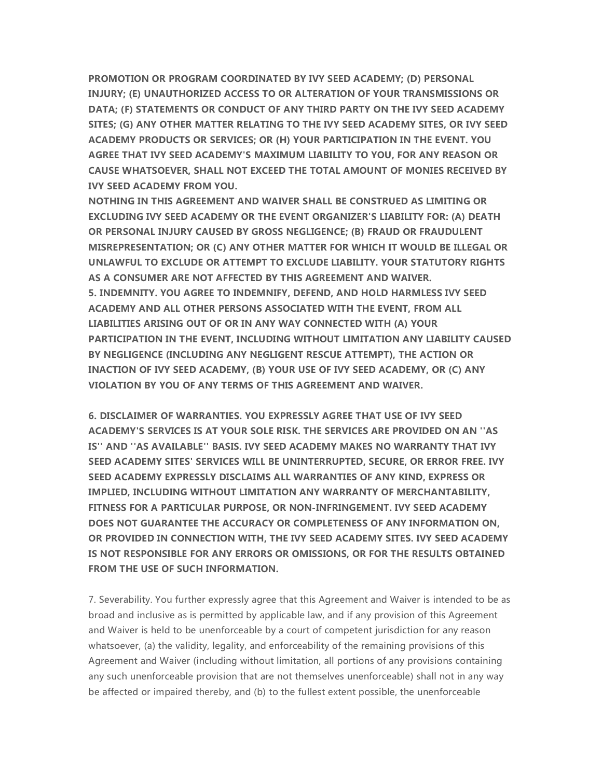**PROMOTION OR PROGRAM COORDINATED BY IVY SEED ACADEMY; (D) PERSONAL INJURY; (E) UNAUTHORIZED ACCESS TO OR ALTERATION OF YOUR TRANSMISSIONS OR DATA; (F) STATEMENTS OR CONDUCT OF ANY THIRD PARTY ON THE IVY SEED ACADEMY SITES; (G) ANY OTHER MATTER RELATING TO THE IVY SEED ACADEMY SITES, OR IVY SEED ACADEMY PRODUCTS OR SERVICES; OR (H) YOUR PARTICIPATION IN THE EVENT. YOU AGREE THAT IVY SEED ACADEMY'S MAXIMUM LIABILITY TO YOU, FOR ANY REASON OR CAUSE WHATSOEVER, SHALL NOT EXCEED THE TOTAL AMOUNT OF MONIES RECEIVED BY IVY SEED ACADEMY FROM YOU.**

**NOTHING IN THIS AGREEMENT AND WAIVER SHALL BE CONSTRUED AS LIMITING OR EXCLUDING IVY SEED ACADEMY OR THE EVENT ORGANIZER'S LIABILITY FOR: (A) DEATH OR PERSONAL INJURY CAUSED BY GROSS NEGLIGENCE; (B) FRAUD OR FRAUDULENT MISREPRESENTATION; OR (C) ANY OTHER MATTER FOR WHICH IT WOULD BE ILLEGAL OR UNLAWFUL TO EXCLUDE OR ATTEMPT TO EXCLUDE LIABILITY. YOUR STATUTORY RIGHTS AS A CONSUMER ARE NOT AFFECTED BY THIS AGREEMENT AND WAIVER. 5. INDEMNITY. YOU AGREE TO INDEMNIFY, DEFEND, AND HOLD HARMLESS IVY SEED ACADEMY AND ALL OTHER PERSONS ASSOCIATED WITH THE EVENT, FROM ALL LIABILITIES ARISING OUT OF OR IN ANY WAY CONNECTED WITH (A) YOUR PARTICIPATION IN THE EVENT, INCLUDING WITHOUT LIMITATION ANY LIABILITY CAUSED BY NEGLIGENCE (INCLUDING ANY NEGLIGENT RESCUE ATTEMPT), THE ACTION OR INACTION OF IVY SEED ACADEMY, (B) YOUR USE OF IVY SEED ACADEMY, OR (C) ANY VIOLATION BY YOU OF ANY TERMS OF THIS AGREEMENT AND WAIVER.**

**6. DISCLAIMER OF WARRANTIES. YOU EXPRESSLY AGREE THAT USE OF IVY SEED ACADEMY'S SERVICES IS AT YOUR SOLE RISK. THE SERVICES ARE PROVIDED ON AN ''AS IS'' AND ''AS AVAILABLE'' BASIS. IVY SEED ACADEMY MAKES NO WARRANTY THAT IVY SEED ACADEMY SITES' SERVICES WILL BE UNINTERRUPTED, SECURE, OR ERROR FREE. IVY SEED ACADEMY EXPRESSLY DISCLAIMS ALL WARRANTIES OF ANY KIND, EXPRESS OR IMPLIED, INCLUDING WITHOUT LIMITATION ANY WARRANTY OF MERCHANTABILITY, FITNESS FOR A PARTICULAR PURPOSE, OR NON-INFRINGEMENT. IVY SEED ACADEMY DOES NOT GUARANTEE THE ACCURACY OR COMPLETENESS OF ANY INFORMATION ON, OR PROVIDED IN CONNECTION WITH, THE IVY SEED ACADEMY SITES. IVY SEED ACADEMY IS NOT RESPONSIBLE FOR ANY ERRORS OR OMISSIONS, OR FOR THE RESULTS OBTAINED FROM THE USE OF SUCH INFORMATION.**

7. Severability. You further expressly agree that this Agreement and Waiver is intended to be as broad and inclusive as is permitted by applicable law, and if any provision of this Agreement and Waiver is held to be unenforceable by a court of competent jurisdiction for any reason whatsoever, (a) the validity, legality, and enforceability of the remaining provisions of this Agreement and Waiver (including without limitation, all portions of any provisions containing any such unenforceable provision that are not themselves unenforceable) shall not in any way be affected or impaired thereby, and (b) to the fullest extent possible, the unenforceable